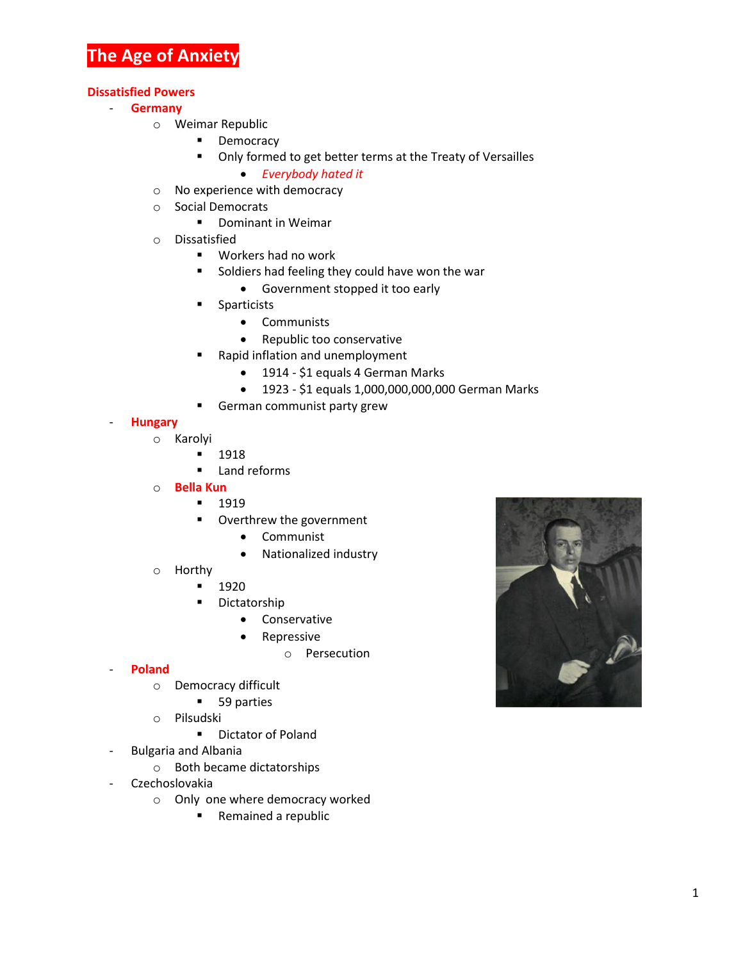# **The Age of Anxiety**

### **Dissatisfied Powers**

- **Germany**
	- o Weimar Republic
		- **•** Democracy
		- Only formed to get better terms at the Treaty of Versailles
			- *Everybody hated it*
	- o No experience with democracy
	- o Social Democrats
		- **•** Dominant in Weimar
	- o Dissatisfied
		- Workers had no work
		- **Soldiers had feeling they could have won the war** 
			- Government stopped it too early
		- **Sparticists** 
			- Communists
			- Republic too conservative
		- **Rapid inflation and unemployment** 
			- 1914 \$1 equals 4 German Marks
			- 1923 \$1 equals 1,000,000,000,000 German Marks
		- **German communist party grew**

#### - **Hungary**

- o Karolyi
	- **1918**
	- **Land reforms**
- o **Bella Kun**
	- $-1919$
	- **•** Overthrew the government
		- Communist
		- Nationalized industry
- o Horthy
	- **1920**
	- **Dictatorship** 
		- **•** Conservative
		- Repressive
			- o Persecution

#### - **Poland**

- o Democracy difficult
	- **59 parties**
- o Pilsudski
	- **Dictator of Poland**
- Bulgaria and Albania
	- o Both became dictatorships
- Czechoslovakia
	- o Only one where democracy worked
		- Remained a republic

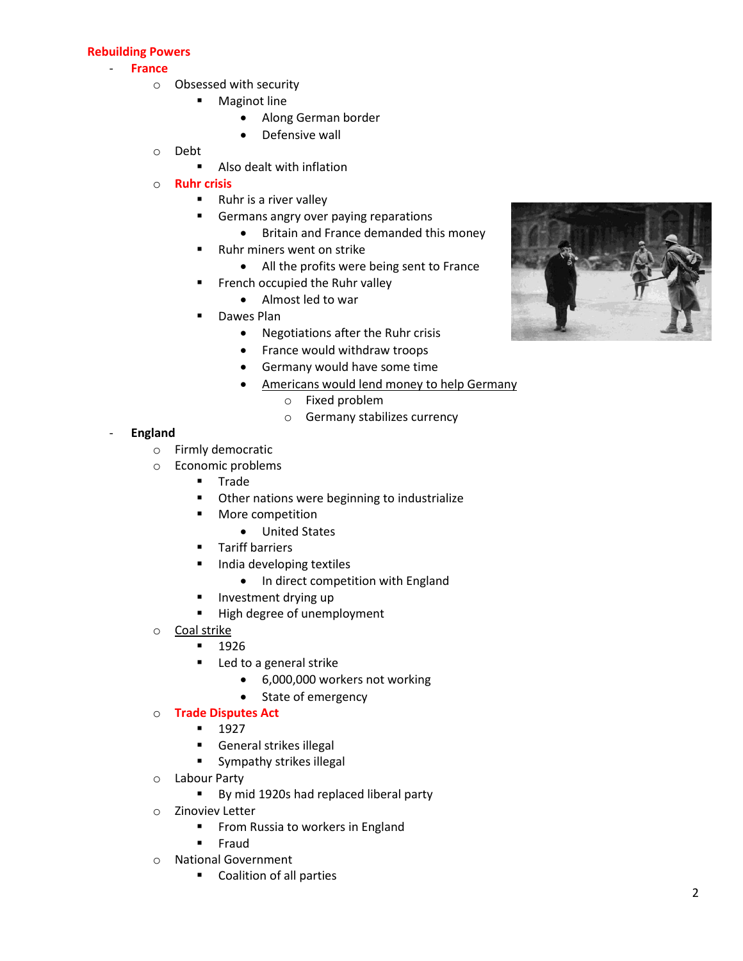## **Rebuilding Powers**

#### - **France**

- o Obsessed with security
	- **Maginot line** 
		- Along German border
		- Defensive wall
- o Debt
	- Also dealt with inflation
- o **Ruhr crisis**
	- Ruhr is a river valley
	- Germans angry over paying reparations
		- Britain and France demanded this money
	- Ruhr miners went on strike
		- All the profits were being sent to France
	- **French occupied the Ruhr valley** 
		- Almost led to war
	- Dawes Plan
		- Negotiations after the Ruhr crisis
		- France would withdraw troops
		- Germany would have some time
		- Americans would lend money to help Germany
			- o Fixed problem
			- o Germany stabilizes currency

## - **England**

- o Firmly democratic
- o Economic problems
	- **Trade**
	- **•** Other nations were beginning to industrialize
	- **More competition** 
		- United States
	- **Tariff barriers**
	- **India developing textiles** 
		- In direct competition with England
	- **Investment drying up**
	- High degree of unemployment
- o Coal strike
	- **1926**
	- **Led to a general strike** 
		- 6,000,000 workers not working
		- State of emergency

## o **Trade Disputes Act**

- $-1927$
- **General strikes illegal**
- **Sympathy strikes illegal**
- o Labour Party
	- By mid 1920s had replaced liberal party
- o Zinoviev Letter
	- **FILM** From Russia to workers in England
	- **Fraud**
- o National Government
	- **Coalition of all parties**

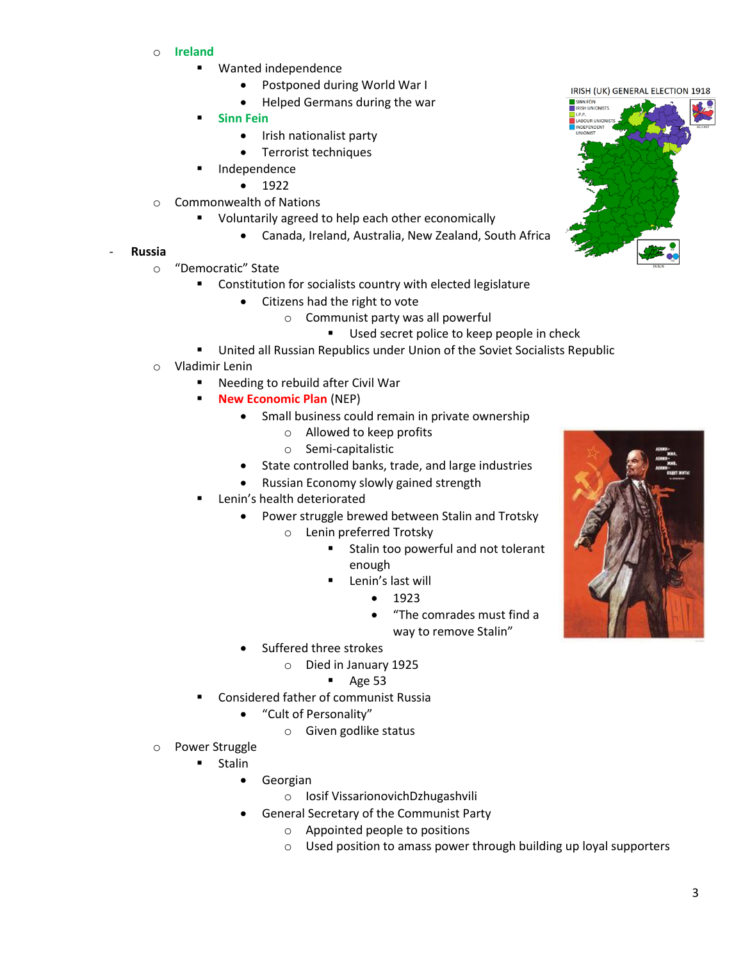- o **Ireland**
	- Wanted independence
		- Postponed during World War I
		- Helped Germans during the war
	- **Sinn Fein**
		- Irish nationalist party
		- **•** Terrorist techniques
	- Independence
		- $1922$
- o Commonwealth of Nations
	- Voluntarily agreed to help each other economically
		- Canada, Ireland, Australia, New Zealand, South Africa

## - **Russia**

- o "Democratic" State
	- **EXECONSTRUGIST CONSTRUST CONSTRUSTED CONSTRUSTED CONSTRUST** Constitution for socialists country with elected legislature
		- Citizens had the right to vote
			- o Communist party was all powerful
				- **Used secret police to keep people in check**
	- United all Russian Republics under Union of the Soviet Socialists Republic
- o Vladimir Lenin
	- Needing to rebuild after Civil War
	- **New Economic Plan (NEP)** 
		- Small business could remain in private ownership
			- o Allowed to keep profits
				- o Semi-capitalistic
		- State controlled banks, trade, and large industries
		- Russian Economy slowly gained strength
	- Lenin's health deteriorated
		- Power struggle brewed between Stalin and Trotsky
			- o Lenin preferred Trotsky
				- **Stalin too powerful and not tolerant** enough
				- Lenin's last will
					- $1923$
					- "The comrades must find a way to remove Stalin"
			- Suffered three strokes
				- o Died in January 1925
					- $\blacksquare$  Age 53
	- Considered father of communist Russia
		- "Cult of Personality"
			- o Given godlike status
- o Power Struggle
	- Stalin
		- Georgian
			- o Iosif VissarionovichDzhugashvili
		- General Secretary of the Communist Party
			- o Appointed people to positions
			- o Used position to amass power through building up loyal supporters



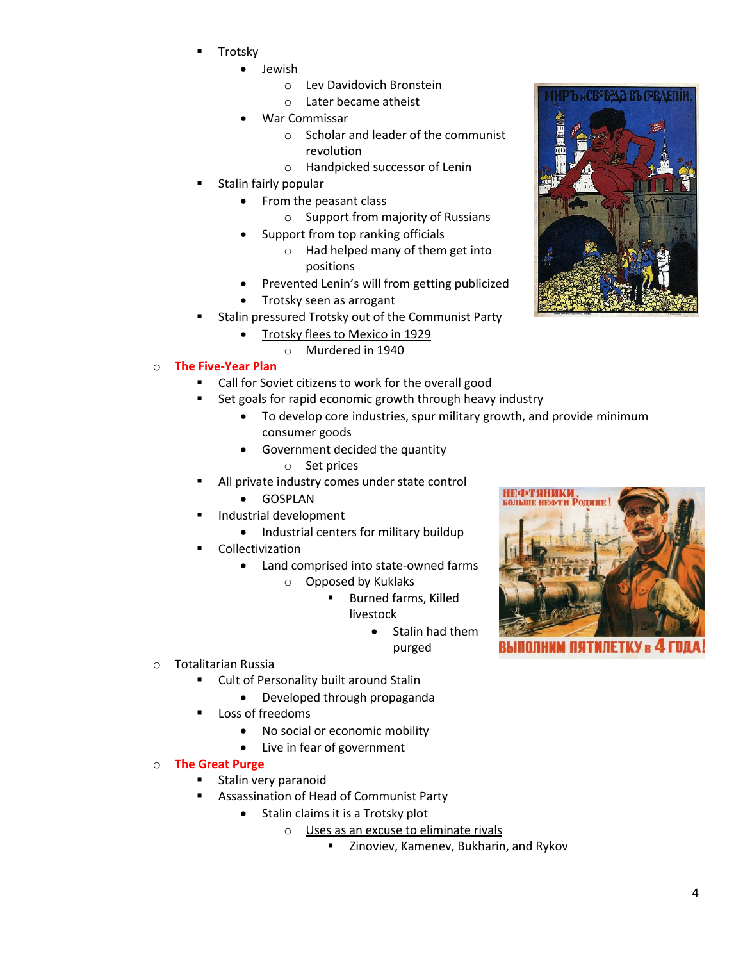- Trotsky
	- Jewish
		- o Lev Davidovich Bronstein
		- o Later became atheist
	- War Commissar
		- o Scholar and leader of the communist revolution
		- o Handpicked successor of Lenin
- Stalin fairly popular
	- From the peasant class
		- o Support from majority of Russians
		- Support from top ranking officials
			- o Had helped many of them get into positions
	- Prevented Lenin's will from getting publicized
	- Trotsky seen as arrogant
	- Stalin pressured Trotsky out of the Communist Party
		- Trotsky flees to Mexico in 1929
		- o Murdered in 1940
- o **The Five-Year Plan**
	- Call for Soviet citizens to work for the overall good
	- Set goals for rapid economic growth through heavy industry
		- To develop core industries, spur military growth, and provide minimum consumer goods
		- Government decided the quantity
			- o Set prices
	- All private industry comes under state control
		- **•** GOSPLAN
		- Industrial development
			- Industrial centers for military buildup
	- Collectivization
		- Land comprised into state-owned farms
			- o Opposed by Kuklaks
				- **Burned farms, Killed** livestock
					- Stalin had them purged
- o Totalitarian Russia
	- Cult of Personality built around Stalin
		- Developed through propaganda
	- Loss of freedoms
		- No social or economic mobility
		- Live in fear of government
- o **The Great Purge**
	- Stalin very paranoid
		- Assassination of Head of Communist Party
			- Stalin claims it is a Trotsky plot
				- o Uses as an excuse to eliminate rivals
					- **E** Zinoviev, Kamenev, Bukharin, and Rykov